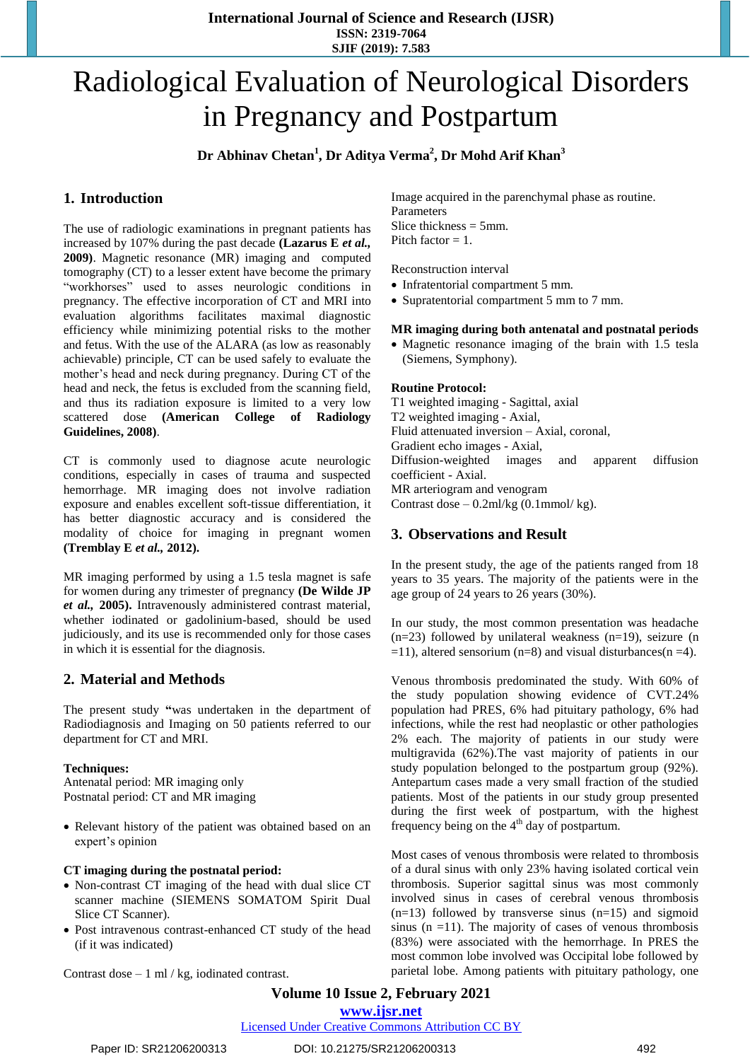**International Journal of Science and Research (IJSR) ISSN: 2319-7064 SJIF (2019): 7.583**

# Radiological Evaluation of Neurological Disorders in Pregnancy and Postpartum

**Dr Abhinav Chetan<sup>1</sup> , Dr Aditya Verma<sup>2</sup> , Dr Mohd Arif Khan<sup>3</sup>**

### **1. Introduction**

The use of radiologic examinations in pregnant patients has increased by 107% during the past decade **(Lazarus E** *et al.,* **2009)**. Magnetic resonance (MR) imaging and computed tomography (CT) to a lesser extent have become the primary "workhorses" used to asses neurologic conditions in pregnancy. The effective incorporation of CT and MRI into evaluation algorithms facilitates maximal diagnostic efficiency while minimizing potential risks to the mother and fetus. With the use of the ALARA (as low as reasonably achievable) principle, CT can be used safely to evaluate the mother's head and neck during pregnancy. During CT of the head and neck, the fetus is excluded from the scanning field, and thus its radiation exposure is limited to a very low scattered dose **(American College of Radiology Guidelines, 2008)**.

CT is commonly used to diagnose acute neurologic conditions, especially in cases of trauma and suspected hemorrhage. MR imaging does not involve radiation exposure and enables excellent soft-tissue differentiation, it has better diagnostic accuracy and is considered the modality of choice for imaging in pregnant women **(Tremblay E** *et al.,* **2012).**

MR imaging performed by using a 1.5 tesla magnet is safe for women during any trimester of pregnancy **(De Wilde JP**  *et al.,* **2005).** Intravenously administered contrast material, whether iodinated or gadolinium-based, should be used judiciously, and its use is recommended only for those cases in which it is essential for the diagnosis.

#### **2. Material and Methods**

The present study **"**was undertaken in the department of Radiodiagnosis and Imaging on 50 patients referred to our department for CT and MRI.

#### **Techniques:**

Antenatal period: MR imaging only Postnatal period: CT and MR imaging

 Relevant history of the patient was obtained based on an expert's opinion

#### **CT imaging during the postnatal period:**

- Non-contrast CT imaging of the head with dual slice CT scanner machine (SIEMENS SOMATOM Spirit Dual Slice CT Scanner).
- Post intravenous contrast-enhanced CT study of the head (if it was indicated)

Contrast dose  $-1$  ml / kg, iodinated contrast.

Image acquired in the parenchymal phase as routine. Parameters Slice thickness  $= 5$ mm. Pitch factor = 1.

Reconstruction interval

- Infratentorial compartment 5 mm.
- Supratentorial compartment 5 mm to 7 mm.

#### **MR imaging during both antenatal and postnatal periods**

 Magnetic resonance imaging of the brain with 1.5 tesla (Siemens, Symphony).

#### **Routine Protocol:**

T1 weighted imaging - Sagittal, axial T2 weighted imaging - Axial, Fluid attenuated inversion – Axial, coronal, Gradient echo images - Axial, Diffusion-weighted images and apparent diffusion coefficient - Axial. MR arteriogram and venogram Contrast dose  $-0.2$ ml/kg $(0.1$ mmol/kg $)$ .

#### **3. Observations and Result**

In the present study, the age of the patients ranged from 18 years to 35 years. The majority of the patients were in the age group of 24 years to 26 years (30%).

In our study, the most common presentation was headache (n=23) followed by unilateral weakness (n=19), seizure (n  $=11$ ), altered sensorium (n=8) and visual disturbances(n =4).

Venous thrombosis predominated the study. With 60% of the study population showing evidence of CVT.24% population had PRES, 6% had pituitary pathology, 6% had infections, while the rest had neoplastic or other pathologies 2% each. The majority of patients in our study were multigravida (62%).The vast majority of patients in our study population belonged to the postpartum group (92%). Antepartum cases made a very small fraction of the studied patients. Most of the patients in our study group presented during the first week of postpartum, with the highest frequency being on the  $4<sup>th</sup>$  day of postpartum.

Most cases of venous thrombosis were related to thrombosis of a dural sinus with only 23% having isolated cortical vein thrombosis. Superior sagittal sinus was most commonly involved sinus in cases of cerebral venous thrombosis  $(n=13)$  followed by transverse sinus  $(n=15)$  and sigmoid sinus  $(n = 11)$ . The majority of cases of venous thrombosis (83%) were associated with the hemorrhage. In PRES the most common lobe involved was Occipital lobe followed by parietal lobe. Among patients with pituitary pathology, one

## **Volume 10 Issue 2, February 2021**

#### **www.ijsr.net** Licensed Under Creative Commons Attribution CC BY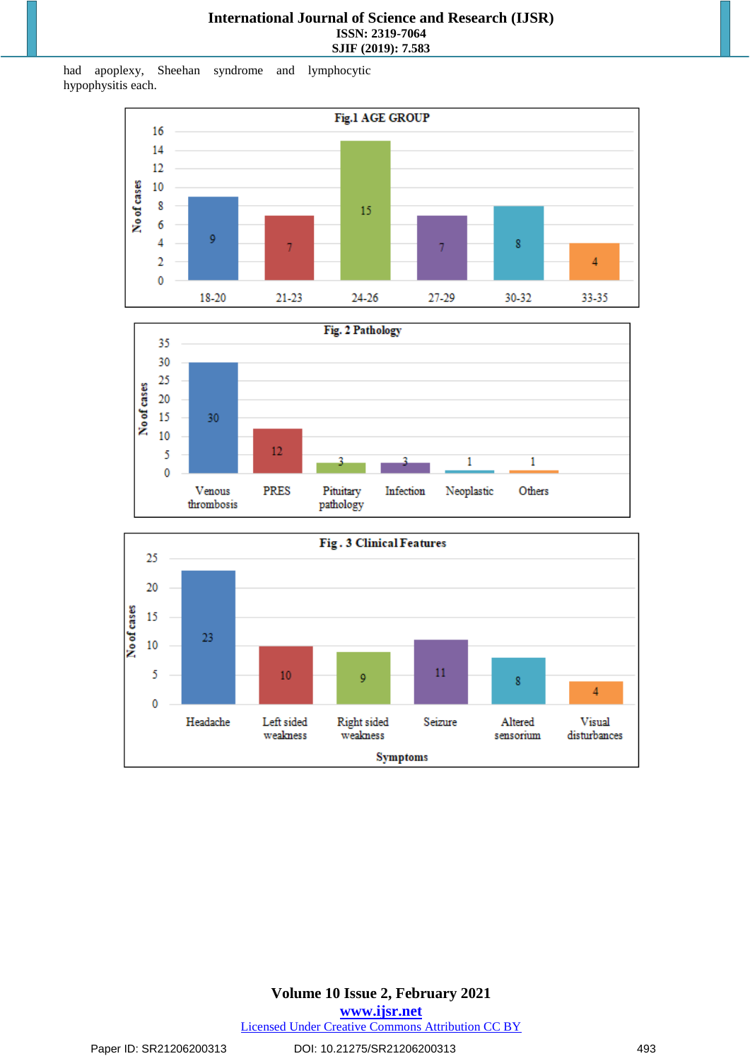had apoplexy, Sheehan syndrome and lymphocytic hypophysitis each.







**Volume 10 Issue 2, February 2021 www.ijsr.net** Licensed Under Creative Commons Attribution CC BY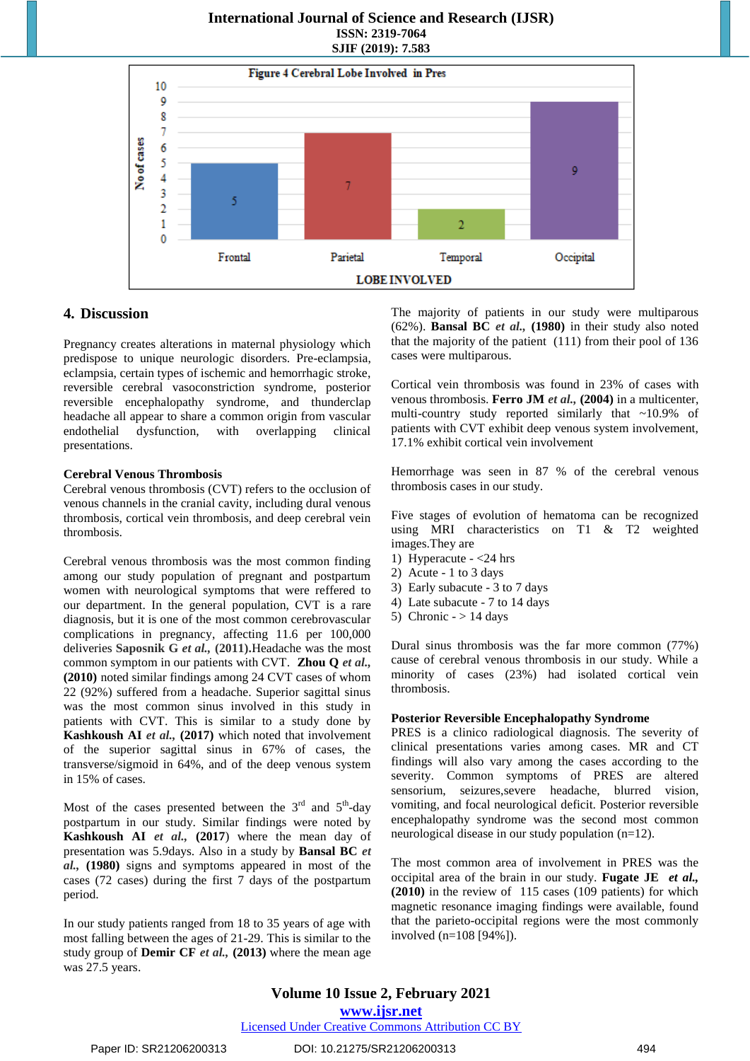#### **International Journal of Science and Research (IJSR) ISSN: 2319-7064 SJIF (2019): 7.583**



#### **4. Discussion**

Pregnancy creates alterations in maternal physiology which predispose to unique neurologic disorders. Pre-eclampsia, eclampsia, certain types of ischemic and hemorrhagic stroke, reversible cerebral vasoconstriction syndrome, posterior reversible encephalopathy syndrome, and thunderclap headache all appear to share a common origin from vascular endothelial dysfunction, with overlapping clinical presentations.

#### **Cerebral Venous Thrombosis**

Cerebral venous thrombosis (CVT) refers to the occlusion of venous channels in the cranial cavity, including dural venous thrombosis, cortical vein thrombosis, and deep cerebral vein thrombosis.

Cerebral venous thrombosis was the most common finding among our study population of pregnant and postpartum women with neurological symptoms that were reffered to our department. In the general population, CVT is a rare diagnosis, but it is one of the most common cerebrovascular complications in pregnancy, affecting 11.6 per 100,000 deliveries **Saposnik G** *et al.,* **(2011).**Headache was the most common symptom in our patients with CVT. **Zhou Q** *et al.,* **(2010)** noted similar findings among 24 CVT cases of whom 22 (92%) suffered from a headache. Superior sagittal sinus was the most common sinus involved in this study in patients with CVT. This is similar to a study done by **Kashkoush AI** *et al.,* **(2017)** which noted that involvement of the superior sagittal sinus in 67% of cases, the transverse/sigmoid in 64%, and of the deep venous system in 15% of cases.

Most of the cases presented between the  $3<sup>rd</sup>$  and  $5<sup>th</sup>$ -day postpartum in our study. Similar findings were noted by **Kashkoush AI** *et al.,* **(2017**) where the mean day of presentation was 5.9days. Also in a study by **Bansal BC** *et al.,* **(1980)** signs and symptoms appeared in most of the cases (72 cases) during the first 7 days of the postpartum period.

In our study patients ranged from 18 to 35 years of age with most falling between the ages of 21-29. This is similar to the study group of **Demir CF** *et al.,* **(2013)** where the mean age was 27.5 years.

The majority of patients in our study were multiparous (62%). **Bansal BC** *et al.,* **(1980)** in their study also noted that the majority of the patient (111) from their pool of 136 cases were multiparous.

Cortical vein thrombosis was found in 23% of cases with venous thrombosis. **Ferro JM** *et al.,* **(2004)** in a multicenter, multi-country study reported similarly that ~10.9% of patients with CVT exhibit deep venous system involvement, 17.1% exhibit cortical vein involvement

Hemorrhage was seen in 87 % of the cerebral venous thrombosis cases in our study.

Five stages of evolution of hematoma can be recognized using MRI characteristics on T1 & T2 weighted images.They are

- 1) Hyperacute <24 hrs
- 2) Acute 1 to 3 days
- 3) Early subacute 3 to 7 days
- 4) Late subacute 7 to 14 days
- 5) Chronic  $-$  > 14 days

Dural sinus thrombosis was the far more common (77%) cause of cerebral venous thrombosis in our study. While a minority of cases (23%) had isolated cortical vein thrombosis.

#### **Posterior Reversible Encephalopathy Syndrome**

PRES is a clinico radiological diagnosis. The severity of clinical presentations varies among cases. MR and CT findings will also vary among the cases according to the severity. Common symptoms of PRES are altered sensorium, seizures,severe headache, blurred vision, vomiting, and focal neurological deficit. Posterior reversible encephalopathy syndrome was the second most common neurological disease in our study population (n=12).

The most common area of involvement in PRES was the occipital area of the brain in our study. **Fugate JE** *et al.,*  **(2010)** in the review of 115 cases (109 patients) for which magnetic resonance imaging findings were available, found that the parieto-occipital regions were the most commonly involved (n=108 [94%]).

#### **Volume 10 Issue 2, February 2021 www.ijsr.net**

#### Licensed Under Creative Commons Attribution CC BY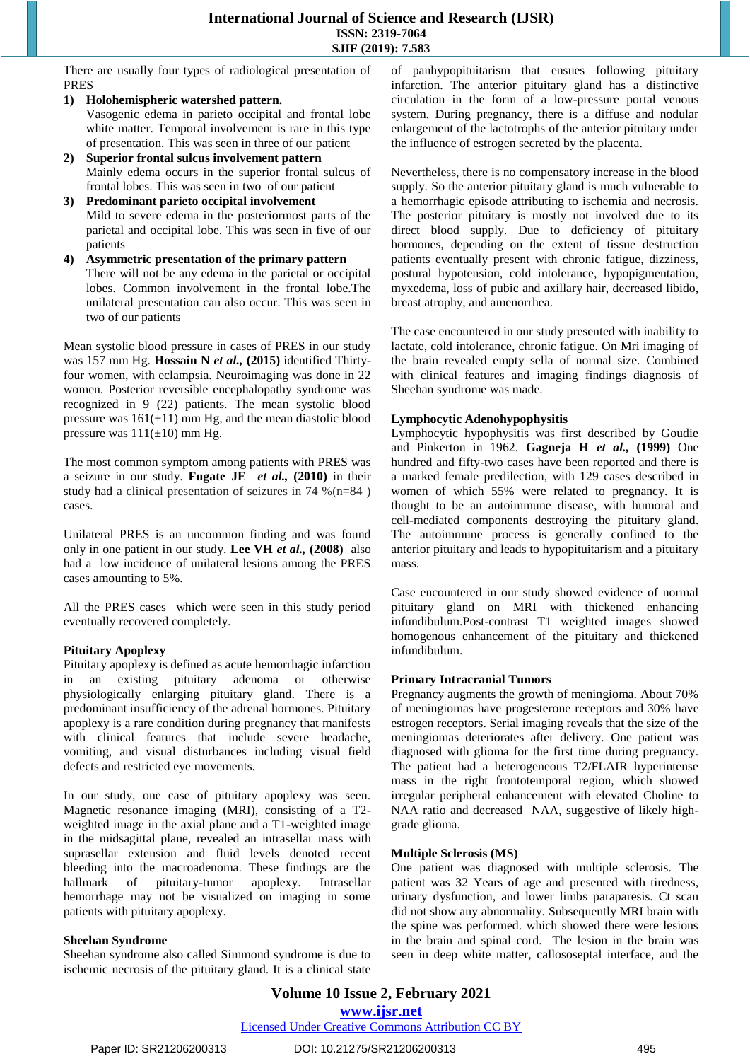There are usually four types of radiological presentation of PRES

- **1) Holohemispheric watershed pattern.** Vasogenic edema in parieto occipital and frontal lobe white matter. Temporal involvement is rare in this type of presentation. This was seen in three of our patient
- **2) Superior frontal sulcus involvement pattern** Mainly edema occurs in the superior frontal sulcus of frontal lobes. This was seen in two of our patient
- **3) Predominant parieto occipital involvement** Mild to severe edema in the posteriormost parts of the parietal and occipital lobe. This was seen in five of our patients
- **4) Asymmetric presentation of the primary pattern** There will not be any edema in the parietal or occipital lobes. Common involvement in the frontal lobe.The unilateral presentation can also occur. This was seen in two of our patients

Mean systolic blood pressure in cases of PRES in our study was 157 mm Hg. **Hossain N** *et al.,* **(2015)** identified Thirtyfour women, with eclampsia. Neuroimaging was done in 22 women. Posterior reversible encephalopathy syndrome was recognized in 9 (22) patients. The mean systolic blood pressure was  $161(\pm 11)$  mm Hg, and the mean diastolic blood pressure was  $111(\pm 10)$  mm Hg.

The most common symptom among patients with PRES was a seizure in our study. **Fugate JE** *et al.,* **(2010)** in their study had a clinical presentation of seizures in 74 %(n=84 ) cases.

Unilateral PRES is an uncommon finding and was found only in one patient in our study. **Lee VH** *et al.,* **(2008)** also had a low incidence of unilateral lesions among the PRES cases amounting to 5%.

All the PRES cases which were seen in this study period eventually recovered completely.

#### **Pituitary Apoplexy**

Pituitary apoplexy is defined as acute hemorrhagic infarction in an existing pituitary adenoma or otherwise physiologically enlarging pituitary gland. There is a predominant insufficiency of the adrenal hormones. Pituitary apoplexy is a rare condition during pregnancy that manifests with clinical features that include severe headache, vomiting, and visual disturbances including visual field defects and restricted eye movements.

In our study, one case of pituitary apoplexy was seen. Magnetic resonance imaging (MRI), consisting of a T2 weighted image in the axial plane and a T1-weighted image in the midsagittal plane, revealed an intrasellar mass with suprasellar extension and fluid levels denoted recent bleeding into the macroadenoma. These findings are the hallmark of pituitary-tumor apoplexy. Intrasellar hemorrhage may not be visualized on imaging in some patients with pituitary apoplexy.

#### **Sheehan Syndrome**

Sheehan syndrome also called Simmond syndrome is due to ischemic necrosis of the pituitary gland. It is a clinical state of panhypopituitarism that ensues following pituitary infarction. The anterior pituitary gland has a distinctive circulation in the form of a low-pressure portal venous system. During pregnancy, there is a diffuse and nodular enlargement of the lactotrophs of the anterior pituitary under the influence of estrogen secreted by the placenta.

Nevertheless, there is no compensatory increase in the blood supply. So the anterior pituitary gland is much vulnerable to a hemorrhagic episode attributing to ischemia and necrosis. The posterior pituitary is mostly not involved due to its direct blood supply. Due to deficiency of pituitary hormones, depending on the extent of tissue destruction patients eventually present with chronic fatigue, dizziness, postural hypotension, cold intolerance, hypopigmentation, myxedema, loss of pubic and axillary hair, decreased libido, breast atrophy, and amenorrhea.

The case encountered in our study presented with inability to lactate, cold intolerance, chronic fatigue. On Mri imaging of the brain revealed empty sella of normal size. Combined with clinical features and imaging findings diagnosis of Sheehan syndrome was made.

#### **Lymphocytic Adenohypophysitis**

Lymphocytic hypophysitis was first described by Goudie and Pinkerton in 1962. **Gagneja H** *et al.,* **(1999)** One hundred and fifty-two cases have been reported and there is a marked female predilection, with 129 cases described in women of which 55% were related to pregnancy. It is thought to be an autoimmune disease, with humoral and cell-mediated components destroying the pituitary gland. The autoimmune process is generally confined to the anterior pituitary and leads to hypopituitarism and a pituitary mass.

Case encountered in our study showed evidence of normal pituitary gland on MRI with thickened enhancing infundibulum.Post-contrast T1 weighted images showed homogenous enhancement of the pituitary and thickened infundibulum.

#### **Primary Intracranial Tumors**

Pregnancy augments the growth of meningioma. About 70% of meningiomas have progesterone receptors and 30% have estrogen receptors. Serial imaging reveals that the size of the meningiomas deteriorates after delivery. One patient was diagnosed with glioma for the first time during pregnancy. The patient had a heterogeneous T2/FLAIR hyperintense mass in the right frontotemporal region, which showed irregular peripheral enhancement with elevated Choline to NAA ratio and decreased NAA, suggestive of likely highgrade glioma.

#### **Multiple Sclerosis (MS)**

One patient was diagnosed with multiple sclerosis. The patient was 32 Years of age and presented with tiredness, urinary dysfunction, and lower limbs paraparesis. Ct scan did not show any abnormality. Subsequently MRI brain with the spine was performed. which showed there were lesions in the brain and spinal cord. The lesion in the brain was seen in deep white matter, callososeptal interface, and the

**Volume 10 Issue 2, February 2021 www.ijsr.net** Licensed Under Creative Commons Attribution CC BY